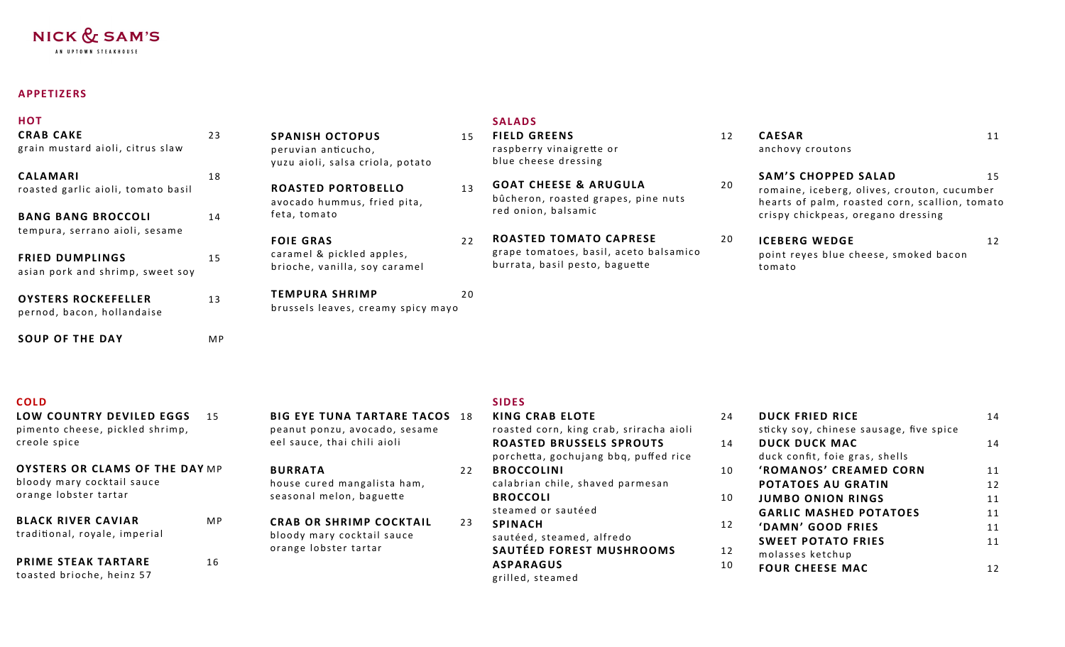# NICK & SAM'S

AN UPTOWN STEAKHOUSE

## **APPETIZERS**

| <b>CAESAR</b><br>12<br>11<br>raspberry vinaigrette or<br>anchovy croutons<br>blue cheese dressing                                                                                                                  |
|--------------------------------------------------------------------------------------------------------------------------------------------------------------------------------------------------------------------|
| <b>SAM'S CHOPPED SALAD</b><br>15<br><b>GOAT CHEESE &amp; ARUGULA</b><br>20<br>romaine, iceberg, olives, crouton, cucumber<br>bûcheron, roasted grapes, pine nuts<br>hearts of palm, roasted corn, scallion, tomato |
| red onion, balsamic<br>crispy chickpeas, oregano dressing                                                                                                                                                          |
| <b>ROASTED TOMATO CAPRESE</b><br>20<br><b>ICEBERG WEDGE</b><br>12                                                                                                                                                  |
| grape tomatoes, basil, aceto balsamico<br>point reyes blue cheese, smoked bacon<br>burrata, basil pesto, baguette<br>tomato                                                                                        |
|                                                                                                                                                                                                                    |
|                                                                                                                                                                                                                    |
|                                                                                                                                                                                                                    |

| -<br>M. | . .<br>- |  |
|---------|----------|--|

| <b>COLD</b>                                                    |           |                                                                       |    | <b>SIDES</b>                                                             |    |                                                                   |    |
|----------------------------------------------------------------|-----------|-----------------------------------------------------------------------|----|--------------------------------------------------------------------------|----|-------------------------------------------------------------------|----|
| LOW COUNTRY DEVILED EGGS 15<br>pimento cheese, pickled shrimp, |           | <b>BIG EYE TUNA TARTARE TACOS 18</b><br>peanut ponzu, avocado, sesame |    | <b>KING CRAB ELOTE</b><br>roasted corn, king crab, sriracha aioli        | 24 | <b>DUCK FRIED RICE</b><br>sticky soy, chinese sausage, five spice | 14 |
| creole spice                                                   |           | eel sauce, thai chili aioli                                           |    | <b>ROASTED BRUSSELS SPROUTS</b><br>porchetta, gochujang bbq, puffed rice | 14 | DUCK DUCK MAC<br>duck confit, foie gras, shells                   | 14 |
| <b>OYSTERS OR CLAMS OF THE DAY MP</b>                          |           | <b>BURRATA</b>                                                        | 22 | <b>BROCCOLINI</b>                                                        | 10 | 'ROMANOS' CREAMED CORN                                            | 11 |
| bloody mary cocktail sauce                                     |           | house cured mangalista ham,                                           |    | calabrian chile, shaved parmesan                                         |    | <b>POTATOES AU GRATIN</b>                                         | 12 |
| orange lobster tartar                                          |           | seasonal melon, baguette                                              |    | <b>BROCCOLI</b>                                                          | 10 | <b>JUMBO ONION RINGS</b>                                          | 11 |
|                                                                |           |                                                                       |    | steamed or sautéed                                                       |    | <b>GARLIC MASHED POTATOES</b>                                     | 11 |
| <b>BLACK RIVER CAVIAR</b>                                      | <b>MP</b> | <b>CRAB OR SHRIMP COCKTAIL</b>                                        | 23 | <b>SPINACH</b>                                                           | 12 | 'DAMN' GOOD FRIES                                                 | 11 |
| traditional, royale, imperial                                  |           | bloody mary cocktail sauce                                            |    | sautéed, steamed, alfredo                                                |    | <b>SWEET POTATO FRIES</b>                                         | 11 |
| <b>PRIME STEAK TARTARE</b>                                     |           | orange lobster tartar                                                 |    | SAUTÉED FOREST MUSHROOMS                                                 | 12 | molasses ketchup                                                  |    |
| toasted brioche, heinz 57                                      | 16        |                                                                       |    | <b>ASPARAGUS</b><br>grilled, steamed                                     | 10 | <b>FOUR CHEESE MAC</b>                                            | 12 |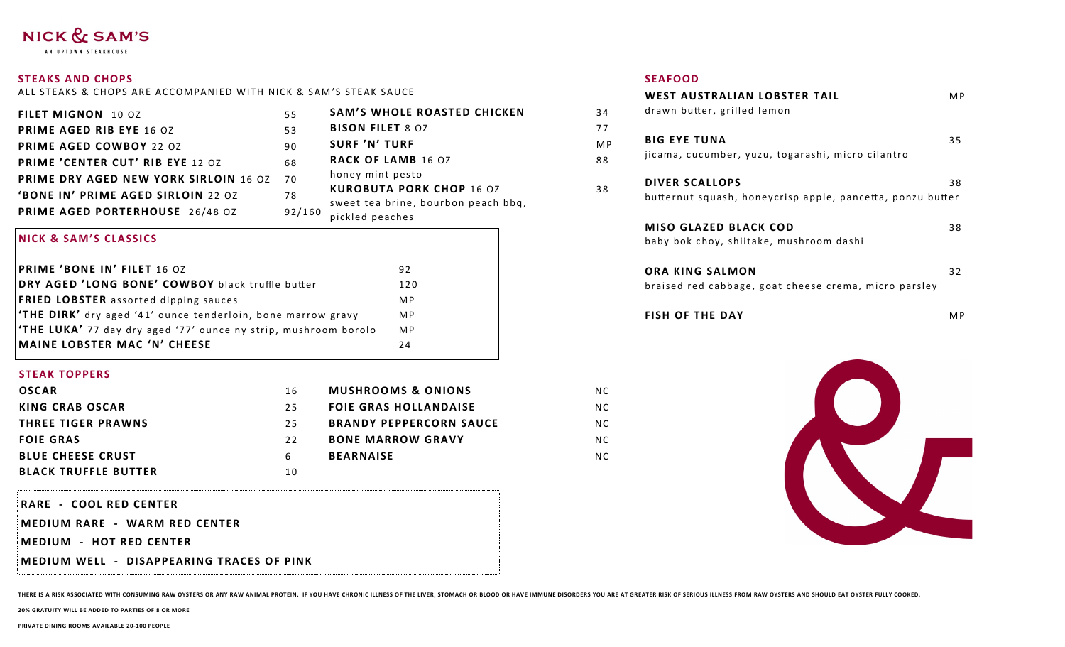# NICK & SAM'S

AN UPTOWN STEAKHOUSE

#### **STEAKS AND CHOPS**

ALL STEAKS & CHOPS ARE ACCOMPANIED WITH NICK & SAM'S STEAK SAUCE

| <b>FILET MIGNON</b> 10 OZ             | 55     | <b>SAM'S WHOLE ROASTED CHICKEN</b>                     |
|---------------------------------------|--------|--------------------------------------------------------|
| <b>PRIME AGED RIB EYE 16 OZ</b>       | 53     | <b>BISON FILET 8 OZ</b>                                |
| <b>PRIME AGED COWBOY 22 0Z</b>        | 90     | <b>SURF 'N' TURF</b>                                   |
| PRIME 'CENTER CUT' RIB EYE 12 OZ      | 68     | <b>RACK OF LAMB 16 OZ</b>                              |
| PRIME DRY AGED NEW YORK SIRLOIN 16 OZ | 70     | honey mint pesto                                       |
| 'BONE IN' PRIME AGED SIRLOIN 22 0Z    | 78     | <b>KUROBUTA PORK CHOP 16 OZ</b>                        |
| PRIME AGED PORTERHOUSE 26/48 OZ       | 92/160 | sweet tea brine, bourbon peach bbq,<br>pickled peaches |

#### **NICK & SAM'S CLASSICS**

| <b>PRIME 'BONE IN' FILET 16 OZ</b>                                    | 92             |
|-----------------------------------------------------------------------|----------------|
| DRY AGED 'LONG BONE' COWBOY black truffle butter                      | 120            |
| <b>FRIED LOBSTER</b> assorted dipping sauces                          | M P            |
| <b>THE DIRK'</b> dry aged '41' ounce tenderloin, bone marrow gravy    | M <sub>P</sub> |
| <b>THE LUKA'</b> 77 day dry aged '77' ounce ny strip, mushroom borolo | <b>MP</b>      |
| MAINE LOBSTER MAC 'N' CHEESE                                          | 24             |

#### **STEAK TOPPERS**

| <b>OSCAR</b>                | 16 | <b>MUSHROOMS &amp; ONIONS</b>  |
|-----------------------------|----|--------------------------------|
| KING CRAB OSCAR             | 25 | <b>FOIE GRAS HOLLANDAISE</b>   |
| <b>THREE TIGER PRAWNS</b>   | 25 | <b>BRANDY PEPPERCORN SAUCE</b> |
| <b>FOIE GRAS</b>            | 22 | <b>BONE MARROW GRAVY</b>       |
| <b>BLUE CHEESE CRUST</b>    | 6  | <b>BEARNAISE</b>               |
| <b>BLACK TRUFFLE BUTTER</b> | 10 |                                |

RARE - COOL RED CENTER

MEDIUM RARE - WARM RED CENTER

MEDIUM - HOT RED CENTER

**MEDIUM WELL - DISAPPEARING TRACES OF PINK** 

#### **SEAFOOD**

38

N<sub>C</sub> N<sub>C</sub>

**NC** N C **NC** 

| <b>WEST AUSTRALIAN LOBSTER TAIL</b>                        | M <sub>P</sub> |
|------------------------------------------------------------|----------------|
| drawn butter, grilled lemon                                |                |
| <b>BIG EYE TUNA</b>                                        | 35             |
| jicama, cucumber, yuzu, togarashi, micro cilantro          |                |
| <b>DIVER SCALLOPS</b>                                      | 38             |
| butternut squash, honeycrisp apple, pancetta, ponzu butter |                |
| <b>MISO GLAZED BLACK COD</b>                               | 38             |
| baby bok choy, shiitake, mushroom dashi                    |                |
| <b>ORA KING SALMON</b>                                     | 32             |
| braised red cabbage, goat cheese crema, micro parsley      |                |
| <b>FISH OF THE DAY</b>                                     | M <sub>P</sub> |
|                                                            |                |
|                                                            |                |
|                                                            |                |
|                                                            |                |



THERE IS A RISK ASSOCIATED WITH CONSUMING RAW OYSTERS OR ANY RAW ANIMAL PROTEIN. IF YOU HAVE CHRONIC ILLNESS OF THE LIVER, STOMACH OR BLOOD OR HAVE IMMUNE DISORDERS YOU ARE AT GREATER RISK OF SERIOUS ILLNESS FROM RAW OYSTE

20% GRATUITY WILL BE ADDED TO PARTIES OF 8 OR MORE